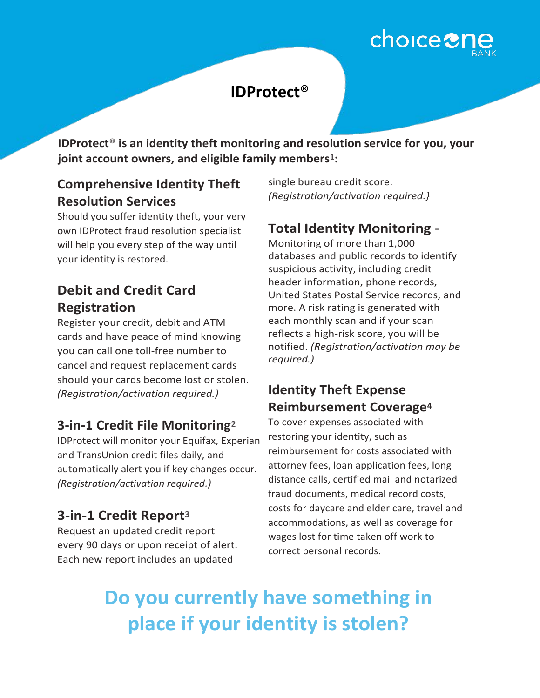# choice<sup>2</sup>

## **IDProtect®**

**IDProtect® is an identity theft monitoring and resolution service for you, your joint account owners, and eligible family members1:** 

### **Comprehensive Identity Theft Resolution Services** –

Should you suffer identity theft, your very own IDProtect fraud resolution specialist will help you every step of the way until your identity is restored.

### **Debit and Credit Card Registration**

Register your credit, debit and ATM cards and have peace of mind knowing you can call one toll-free number to cancel and request replacement cards should your cards become lost or stolen. *(Registration/activation required.)*

#### **3-in-1 Credit File Monitoring<sup>2</sup>**

IDProtect will monitor your Equifax, Experian and TransUnion credit files daily, and automatically alert you if key changes occur. *(Registration/activation required.)*

#### **3-in-1 Credit Report<sup>3</sup>**

Request an updated credit report every 90 days or upon receipt of alert. Each new report includes an updated

single bureau credit score. *(Registration/activation required.}*

## **Total Identity Monitoring** -

Monitoring of more than 1,000 databases and public records to identify suspicious activity, including credit header information, phone records, United States Postal Service records, and more. A risk rating is generated with each monthly scan and if your scan reflects a high-risk score, you will be notified. *(Registration/activation may be required.)*

#### **Identity Theft Expense Reimbursement Coverage<sup>4</sup>**

To cover expenses associated with restoring your identity, such as reimbursement for costs associated with attorney fees, loan application fees, long distance calls, certified mail and notarized fraud documents, medical record costs, costs for daycare and elder care, travel and accommodations, as well as coverage for wages lost for time taken off work to correct personal records.

## **Do you currently have something in place if your identity is stolen?**